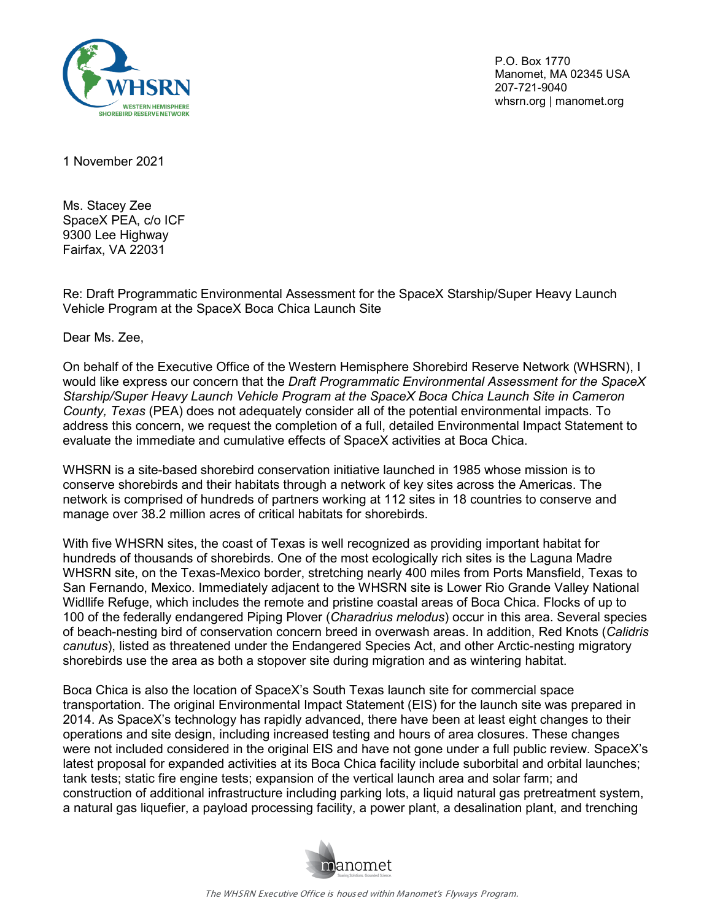

P.O. Box 1770 Manomet, MA 02345 USA 207-721-9040 whsrn.org | manomet.org

1 November 2021

Ms. Stacey Zee SpaceX PEA, c/o ICF 9300 Lee Highway Fairfax, VA 22031

Re: Draft Programmatic Environmental Assessment for the SpaceX Starship/Super Heavy Launch Vehicle Program at the SpaceX Boca Chica Launch Site

Dear Ms. Zee,

On behalf of the Executive Office of the Western Hemisphere Shorebird Reserve Network (WHSRN), I would like express our concern that the *Draft Programmatic Environmental Assessment for the SpaceX Starship/Super Heavy Launch Vehicle Program at the SpaceX Boca Chica Launch Site in Cameron County, Texas* (PEA) does not adequately consider all of the potential environmental impacts. To address this concern, we request the completion of a full, detailed Environmental Impact Statement to evaluate the immediate and cumulative effects of SpaceX activities at Boca Chica.

WHSRN is a site-based shorebird conservation initiative launched in 1985 whose mission is to conserve shorebirds and their habitats through a network of key sites across the Americas. The network is comprised of hundreds of partners working at 112 sites in 18 countries to conserve and manage over 38.2 million acres of critical habitats for shorebirds.

With five WHSRN sites, the coast of Texas is well recognized as providing important habitat for hundreds of thousands of shorebirds. One of the most ecologically rich sites is the Laguna Madre WHSRN site, on the Texas-Mexico border, stretching nearly 400 miles from Ports Mansfield, Texas to San Fernando, Mexico. Immediately adjacent to the WHSRN site is Lower Rio Grande Valley National Widllife Refuge, which includes the remote and pristine coastal areas of Boca Chica. Flocks of up to 100 of the federally endangered Piping Plover (*Charadrius melodus*) occur in this area. Several species of beach-nesting bird of conservation concern breed in overwash areas. In addition, Red Knots (*Calidris canutus*), listed as threatened under the Endangered Species Act, and other Arctic-nesting migratory shorebirds use the area as both a stopover site during migration and as wintering habitat.

Boca Chica is also the location of SpaceX's South Texas launch site for commercial space transportation. The original Environmental Impact Statement (EIS) for the launch site was prepared in 2014. As SpaceX's technology has rapidly advanced, there have been at least eight changes to their operations and site design, including increased testing and hours of area closures. These changes were not included considered in the original EIS and have not gone under a full public review. SpaceX's latest proposal for expanded activities at its Boca Chica facility include suborbital and orbital launches; tank tests; static fire engine tests; expansion of the vertical launch area and solar farm; and construction of additional infrastructure including parking lots, a liquid natural gas pretreatment system, a natural gas liquefier, a payload processing facility, a power plant, a desalination plant, and trenching